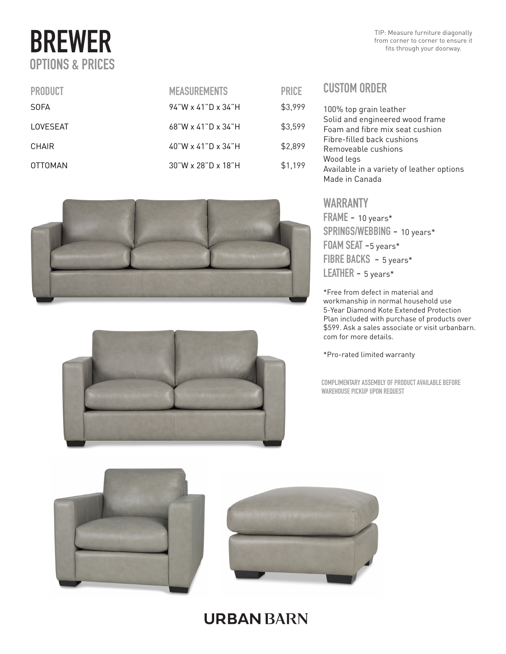# BREWER OPTIONS & PRICES

TIP: Measure furniture diagonally from corner to corner to ensure it fits through your doorway.

| <b>PRODUCT</b> | <b>MEASUREMENTS</b>   | <b>PRICE</b> |
|----------------|-----------------------|--------------|
| <b>SOFA</b>    | $94$ "W x 41"D x 34"H | \$3,999      |
| LOVESEAT       | $68$ "W x 41"D x 34"H | \$3,599      |
| CHAIR          | 40"W x 41"D x 34"H    | \$2,899      |
| OTTOMAN        | $30$ "W x 28"D x 18"H | \$1,199      |





| RICE  | <b>CUSTOM ORDER</b>                                                      |
|-------|--------------------------------------------------------------------------|
| 3.999 | 100% top grain leather                                                   |
| 3,599 | Solid and engineered wood frame<br>Foam and fibre mix seat cushion       |
| 2,899 | Fibre-filled back cushions<br>Removeable cushions                        |
| 1,199 | Wood legs<br>Available in a variety of leather options<br>Made in Canada |

#### WARRANTY

FRAME - 10 years\* SPRINGS/WEBBING - 10 years\* FOAM SEAT -5 years\* FIBRE BACKS - 5 years\* LEATHER - 5 years\*

\*Free from defect in material and workmanship in normal household use 5-Year Diamond Kote Extended Protection Plan included with purchase of products over \$599. Ask a sales associate or visit urbanbarn. com for more details.

\*Pro-rated limited warranty

COMPLIMENTARY ASSEMBLY OF PRODUCT AVAILABLE BEFORE WAREHOUSE PICKUP UPON REQUEST



### **URBAN BARN**